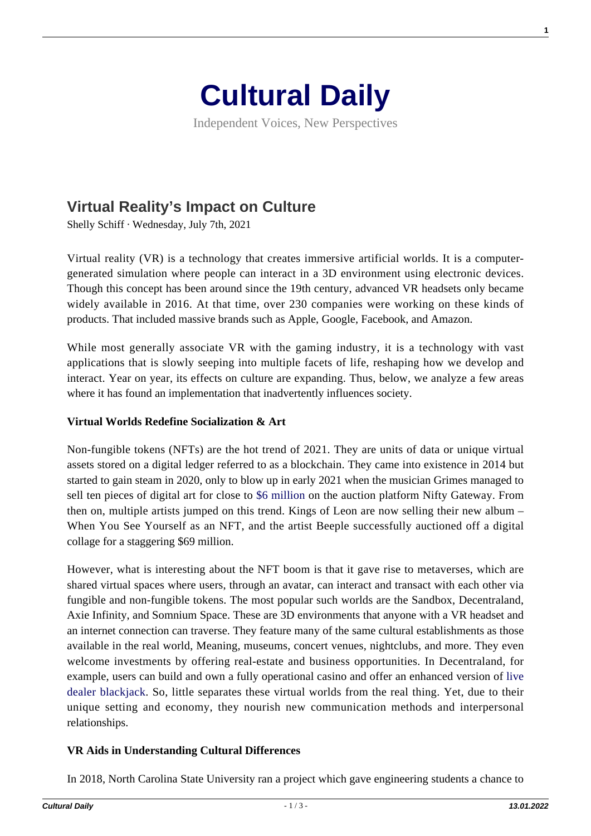

Independent Voices, New Perspectives

# **[Virtual Reality's Impact on Culture](https://culturaldaily.com/virtual-realitys-impact-on-culture/)**

Shelly Schiff · Wednesday, July 7th, 2021

Virtual reality (VR) is a technology that creates immersive artificial worlds. It is a computergenerated simulation where people can interact in a 3D environment using electronic devices. Though this concept has been around since the 19th century, advanced VR headsets only became widely available in 2016. At that time, over 230 companies were working on these kinds of products. That included massive brands such as Apple, Google, Facebook, and Amazon.

While most generally associate VR with the gaming industry, it is a technology with vast applications that is slowly seeping into multiple facets of life, reshaping how we develop and interact. Year on year, its effects on culture are expanding. Thus, below, we analyze a few areas where it has found an implementation that inadvertently influences society.

#### **Virtual Worlds Redefine Socialization & Art**

Non-fungible tokens (NFTs) are the hot trend of 2021. They are units of data or unique virtual assets stored on a digital ledger referred to as a blockchain. They came into existence in 2014 but started to gain steam in 2020, only to blow up in early 2021 when the musician Grimes managed to sell ten pieces of digital art for close to [\\$6 million](https://www.theverge.com/2021/3/1/22308075/grimes-nft-6-million-sales-nifty-gateway-warnymph) on the auction platform Nifty Gateway. From then on, multiple artists jumped on this trend. Kings of Leon are now selling their new album – When You See Yourself as an NFT, and the artist Beeple successfully auctioned off a digital collage for a staggering \$69 million.

However, what is interesting about the NFT boom is that it gave rise to metaverses, which are shared virtual spaces where users, through an avatar, can interact and transact with each other via fungible and non-fungible tokens. The most popular such worlds are the Sandbox, Decentraland, Axie Infinity, and Somnium Space. These are 3D environments that anyone with a VR headset and an internet connection can traverse. They feature many of the same cultural establishments as those available in the real world, Meaning, museums, concert venues, nightclubs, and more. They even welcome investments by offering real-estate and business opportunities. In Decentraland, for example, users can build and own a fully operational casino and offer an enhanced version of [live](https://www.onlineunitedstatescasinos.com/live-dealers-casinos/live-blackjack/) [dealer blackjack.](https://www.onlineunitedstatescasinos.com/live-dealers-casinos/live-blackjack/) So, little separates these virtual worlds from the real thing. Yet, due to their unique setting and economy, they nourish new communication methods and interpersonal relationships.

### **VR Aids in Understanding Cultural Differences**

In 2018, North Carolina State University ran a project which gave engineering students a chance to

**1**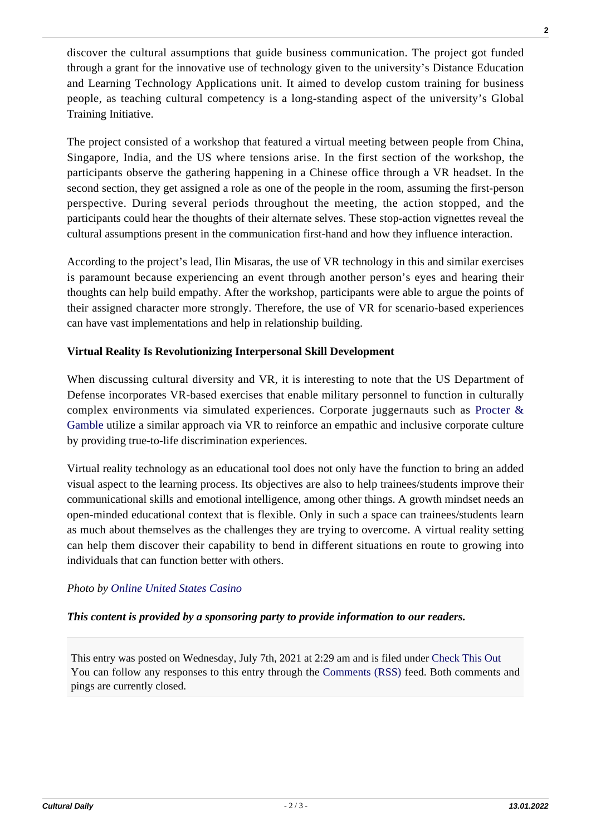discover the cultural assumptions that guide business communication. The project got funded through a grant for the innovative use of technology given to the university's Distance Education and Learning Technology Applications unit. It aimed to develop custom training for business people, as teaching cultural competency is a long-standing aspect of the university's Global Training Initiative.

The project consisted of a workshop that featured a virtual meeting between people from China, Singapore, India, and the US where tensions arise. In the first section of the workshop, the participants observe the gathering happening in a Chinese office through a VR headset. In the second section, they get assigned a role as one of the people in the room, assuming the first-person perspective. During several periods throughout the meeting, the action stopped, and the participants could hear the thoughts of their alternate selves. These stop-action vignettes reveal the cultural assumptions present in the communication first-hand and how they influence interaction.

According to the project's lead, Ilin Misaras, the use of VR technology in this and similar exercises is paramount because experiencing an event through another person's eyes and hearing their thoughts can help build empathy. After the workshop, participants were able to argue the points of their assigned character more strongly. Therefore, the use of VR for scenario-based experiences can have vast implementations and help in relationship building.

### **Virtual Reality Is Revolutionizing Interpersonal Skill Development**

When discussing cultural diversity and VR, it is interesting to note that the US Department of Defense incorporates VR-based exercises that enable military personnel to function in culturally complex environments via simulated experiences. Corporate juggernauts such as [Procter &](https://www.warc.com/newsandopinion/news/pg-taps-a-vr-programmatic-future/37901) [Gamble](https://www.warc.com/newsandopinion/news/pg-taps-a-vr-programmatic-future/37901) utilize a similar approach via VR to reinforce an empathic and inclusive corporate culture by providing true-to-life discrimination experiences.

Virtual reality technology as an educational tool does not only have the function to bring an added visual aspect to the learning process. Its objectives are also to help trainees/students improve their communicational skills and emotional intelligence, among other things. A growth mindset needs an open-minded educational context that is flexible. Only in such a space can trainees/students learn as much about themselves as the challenges they are trying to overcome. A virtual reality setting can help them discover their capability to bend in different situations en route to growing into individuals that can function better with others.

## *Photo by [Online United States Casino](https://www.onlineunitedstatescasinos.com/)*

### *This content is provided by a sponsoring party to provide information to our readers.*

This entry was posted on Wednesday, July 7th, 2021 at 2:29 am and is filed under [Check This Out](https://culturaldaily.com/category/check-this-out/) You can follow any responses to this entry through the [Comments \(RSS\)](https://culturaldaily.com/comments/feed/) feed. Both comments and pings are currently closed.